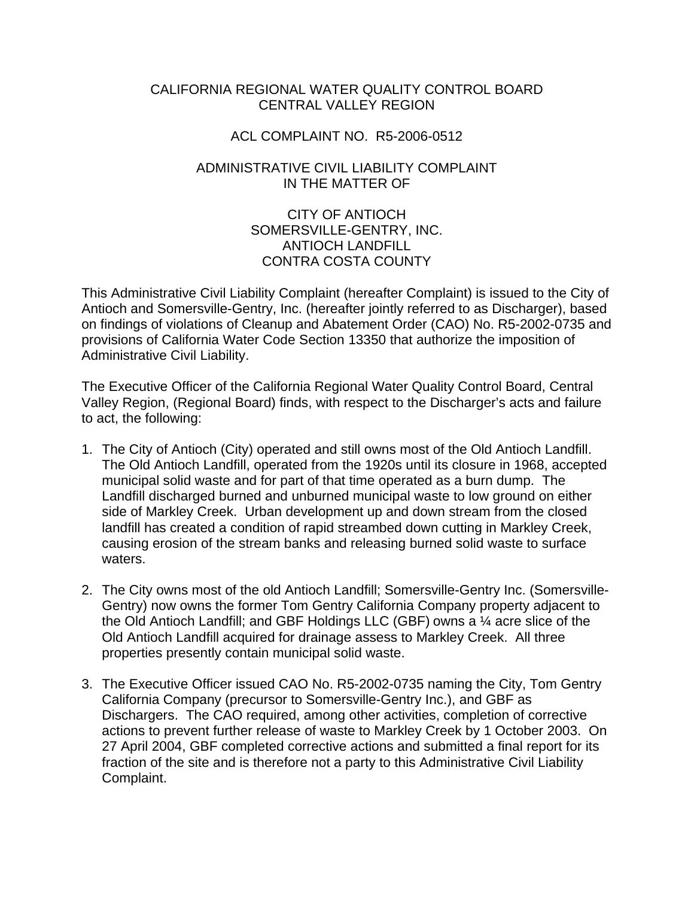# CALIFORNIA REGIONAL WATER QUALITY CONTROL BOARD CENTRAL VALLEY REGION

# ACL COMPLAINT NO. R5-2006-0512

# ADMINISTRATIVE CIVIL LIABILITY COMPLAINT IN THE MATTER OF

# CITY OF ANTIOCH SOMERSVILLE-GENTRY, INC. ANTIOCH LANDFILL CONTRA COSTA COUNTY

This Administrative Civil Liability Complaint (hereafter Complaint) is issued to the City of Antioch and Somersville-Gentry, Inc. (hereafter jointly referred to as Discharger), based on findings of violations of Cleanup and Abatement Order (CAO) No. R5-2002-0735 and provisions of California Water Code Section 13350 that authorize the imposition of Administrative Civil Liability.

The Executive Officer of the California Regional Water Quality Control Board, Central Valley Region, (Regional Board) finds, with respect to the Discharger's acts and failure to act, the following:

- 1. The City of Antioch (City) operated and still owns most of the Old Antioch Landfill. The Old Antioch Landfill, operated from the 1920s until its closure in 1968, accepted municipal solid waste and for part of that time operated as a burn dump. The Landfill discharged burned and unburned municipal waste to low ground on either side of Markley Creek. Urban development up and down stream from the closed landfill has created a condition of rapid streambed down cutting in Markley Creek, causing erosion of the stream banks and releasing burned solid waste to surface waters.
- 2. The City owns most of the old Antioch Landfill; Somersville-Gentry Inc. (Somersville-Gentry) now owns the former Tom Gentry California Company property adjacent to the Old Antioch Landfill; and GBF Holdings LLC (GBF) owns a ¼ acre slice of the Old Antioch Landfill acquired for drainage assess to Markley Creek. All three properties presently contain municipal solid waste.
- 3. The Executive Officer issued CAO No. R5-2002-0735 naming the City, Tom Gentry California Company (precursor to Somersville-Gentry Inc.), and GBF as Dischargers. The CAO required, among other activities, completion of corrective actions to prevent further release of waste to Markley Creek by 1 October 2003. On 27 April 2004, GBF completed corrective actions and submitted a final report for its fraction of the site and is therefore not a party to this Administrative Civil Liability Complaint.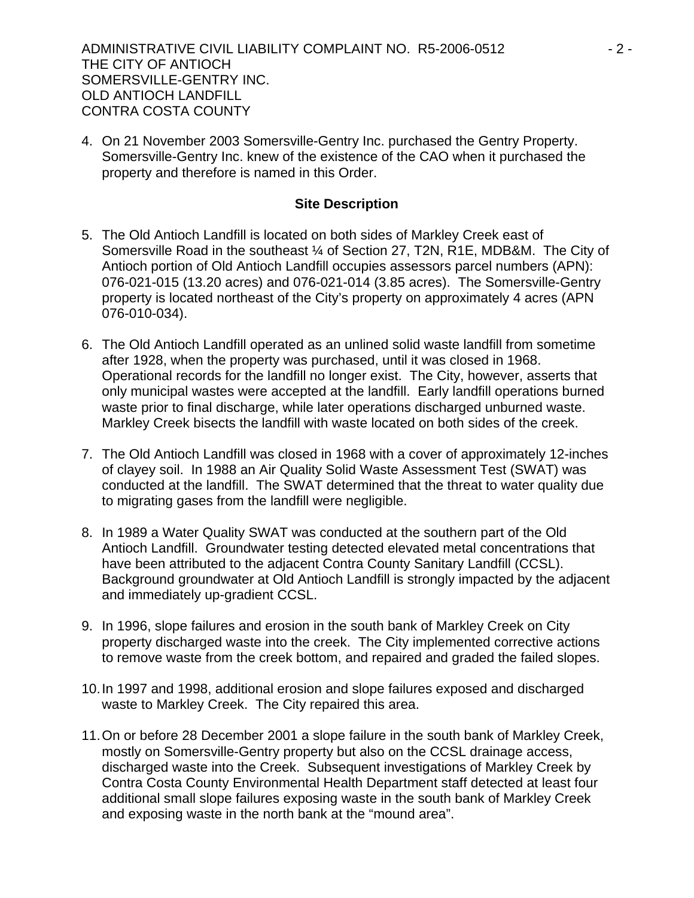ADMINISTRATIVE CIVIL LIABILITY COMPLAINT NO. R5-2006-0512  $-2$  -THE CITY OF ANTIOCH SOMERSVILLE-GENTRY INC. OLD ANTIOCH LANDFILL CONTRA COSTA COUNTY

4. On 21 November 2003 Somersville-Gentry Inc. purchased the Gentry Property. Somersville-Gentry Inc. knew of the existence of the CAO when it purchased the property and therefore is named in this Order.

#### **Site Description**

- 5. The Old Antioch Landfill is located on both sides of Markley Creek east of Somersville Road in the southeast ¼ of Section 27, T2N, R1E, MDB&M. The City of Antioch portion of Old Antioch Landfill occupies assessors parcel numbers (APN): 076-021-015 (13.20 acres) and 076-021-014 (3.85 acres). The Somersville-Gentry property is located northeast of the City's property on approximately 4 acres (APN 076-010-034).
- 6. The Old Antioch Landfill operated as an unlined solid waste landfill from sometime after 1928, when the property was purchased, until it was closed in 1968. Operational records for the landfill no longer exist. The City, however, asserts that only municipal wastes were accepted at the landfill. Early landfill operations burned waste prior to final discharge, while later operations discharged unburned waste. Markley Creek bisects the landfill with waste located on both sides of the creek.
- 7. The Old Antioch Landfill was closed in 1968 with a cover of approximately 12-inches of clayey soil. In 1988 an Air Quality Solid Waste Assessment Test (SWAT) was conducted at the landfill. The SWAT determined that the threat to water quality due to migrating gases from the landfill were negligible.
- 8. In 1989 a Water Quality SWAT was conducted at the southern part of the Old Antioch Landfill. Groundwater testing detected elevated metal concentrations that have been attributed to the adjacent Contra County Sanitary Landfill (CCSL). Background groundwater at Old Antioch Landfill is strongly impacted by the adjacent and immediately up-gradient CCSL.
- 9. In 1996, slope failures and erosion in the south bank of Markley Creek on City property discharged waste into the creek. The City implemented corrective actions to remove waste from the creek bottom, and repaired and graded the failed slopes.
- 10. In 1997 and 1998, additional erosion and slope failures exposed and discharged waste to Markley Creek. The City repaired this area.
- 11. On or before 28 December 2001 a slope failure in the south bank of Markley Creek, mostly on Somersville-Gentry property but also on the CCSL drainage access, discharged waste into the Creek. Subsequent investigations of Markley Creek by Contra Costa County Environmental Health Department staff detected at least four additional small slope failures exposing waste in the south bank of Markley Creek and exposing waste in the north bank at the "mound area".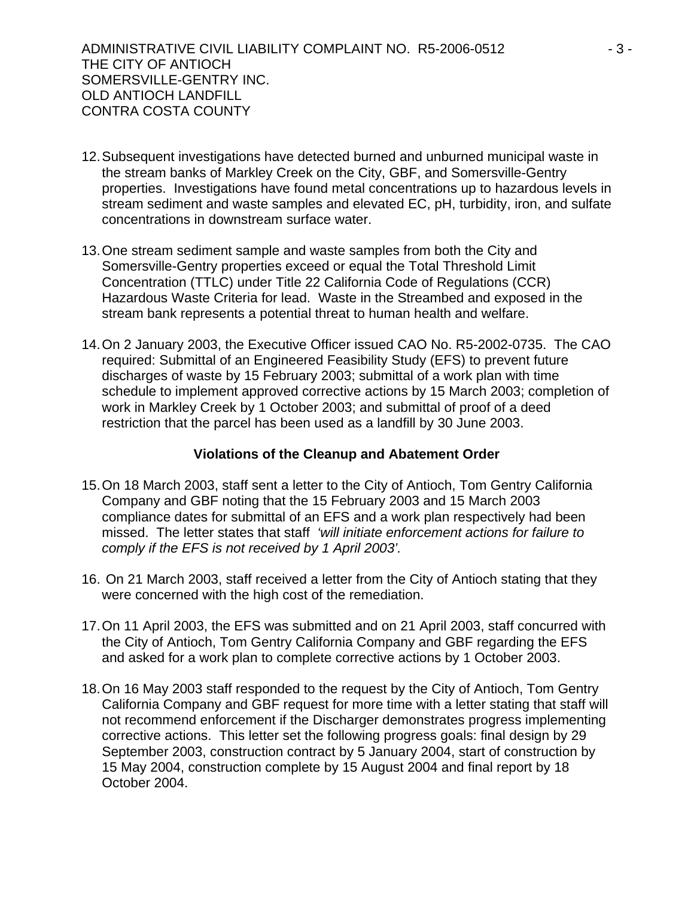- 12. Subsequent investigations have detected burned and unburned municipal waste in the stream banks of Markley Creek on the City, GBF, and Somersville-Gentry properties. Investigations have found metal concentrations up to hazardous levels in stream sediment and waste samples and elevated EC, pH, turbidity, iron, and sulfate concentrations in downstream surface water.
- 13. One stream sediment sample and waste samples from both the City and Somersville-Gentry properties exceed or equal the Total Threshold Limit Concentration (TTLC) under Title 22 California Code of Regulations (CCR) Hazardous Waste Criteria for lead. Waste in the Streambed and exposed in the stream bank represents a potential threat to human health and welfare.
- 14. On 2 January 2003, the Executive Officer issued CAO No. R5-2002-0735. The CAO required: Submittal of an Engineered Feasibility Study (EFS) to prevent future discharges of waste by 15 February 2003; submittal of a work plan with time schedule to implement approved corrective actions by 15 March 2003; completion of work in Markley Creek by 1 October 2003; and submittal of proof of a deed restriction that the parcel has been used as a landfill by 30 June 2003.

# **Violations of the Cleanup and Abatement Order**

- 15. On 18 March 2003, staff sent a letter to the City of Antioch, Tom Gentry California Company and GBF noting that the 15 February 2003 and 15 March 2003 compliance dates for submittal of an EFS and a work plan respectively had been missed. The letter states that staff *'will initiate enforcement actions for failure to comply if the EFS is not received by 1 April 2003'.*
- 16. On 21 March 2003, staff received a letter from the City of Antioch stating that they were concerned with the high cost of the remediation.
- 17. On 11 April 2003, the EFS was submitted and on 21 April 2003, staff concurred with the City of Antioch, Tom Gentry California Company and GBF regarding the EFS and asked for a work plan to complete corrective actions by 1 October 2003.
- 18. On 16 May 2003 staff responded to the request by the City of Antioch, Tom Gentry California Company and GBF request for more time with a letter stating that staff will not recommend enforcement if the Discharger demonstrates progress implementing corrective actions. This letter set the following progress goals: final design by 29 September 2003, construction contract by 5 January 2004, start of construction by 15 May 2004, construction complete by 15 August 2004 and final report by 18 October 2004.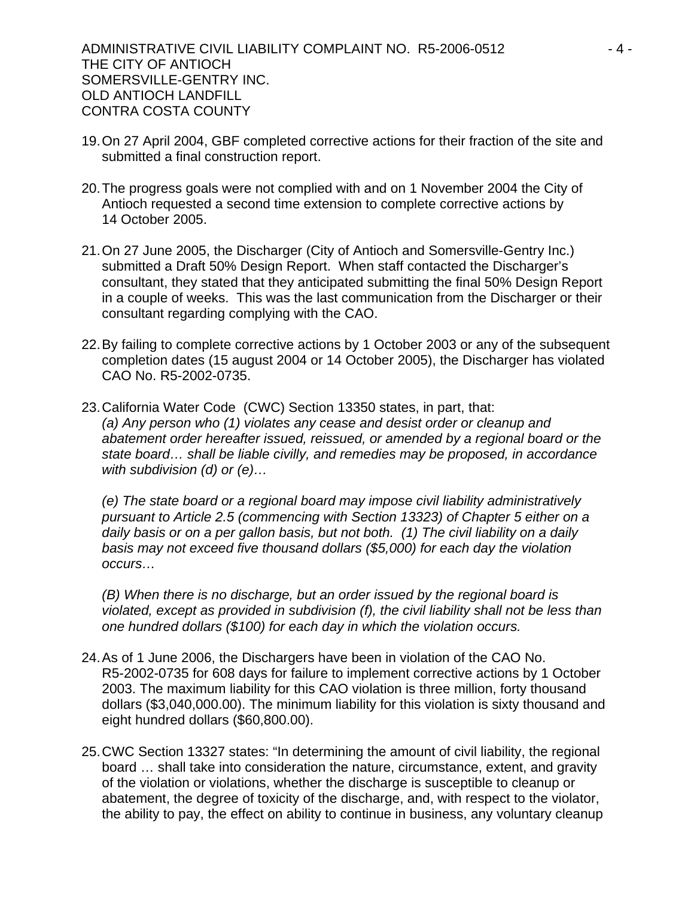ADMINISTRATIVE CIVIL LIABILITY COMPLAINT NO. R5-2006-0512  $-4$  -THE CITY OF ANTIOCH SOMERSVILLE-GENTRY INC. OLD ANTIOCH LANDFILL CONTRA COSTA COUNTY

- 19. On 27 April 2004, GBF completed corrective actions for their fraction of the site and submitted a final construction report.
- 20. The progress goals were not complied with and on 1 November 2004 the City of Antioch requested a second time extension to complete corrective actions by 14 October 2005.
- 21. On 27 June 2005, the Discharger (City of Antioch and Somersville-Gentry Inc.) submitted a Draft 50% Design Report. When staff contacted the Discharger's consultant, they stated that they anticipated submitting the final 50% Design Report in a couple of weeks. This was the last communication from the Discharger or their consultant regarding complying with the CAO.
- 22. By failing to complete corrective actions by 1 October 2003 or any of the subsequent completion dates (15 august 2004 or 14 October 2005), the Discharger has violated CAO No. R5-2002-0735.
- 23. California Water Code (CWC) Section 13350 states, in part, that: *(a) Any person who (1) violates any cease and desist order or cleanup and abatement order hereafter issued, reissued, or amended by a regional board or the state board… shall be liable civilly, and remedies may be proposed, in accordance with subdivision (d) or (e)…*

*(e) The state board or a regional board may impose civil liability administratively pursuant to Article 2.5 (commencing with Section 13323) of Chapter 5 either on a daily basis or on a per gallon basis, but not both. (1) The civil liability on a daily basis may not exceed five thousand dollars (\$5,000) for each day the violation occurs…* 

*(B) When there is no discharge, but an order issued by the regional board is violated, except as provided in subdivision (f), the civil liability shall not be less than one hundred dollars (\$100) for each day in which the violation occurs.*

- 24. As of 1 June 2006, the Dischargers have been in violation of the CAO No. R5-2002-0735 for 608 days for failure to implement corrective actions by 1 October 2003. The maximum liability for this CAO violation is three million, forty thousand dollars (\$3,040,000.00). The minimum liability for this violation is sixty thousand and eight hundred dollars (\$60,800.00).
- 25. CWC Section 13327 states: "In determining the amount of civil liability, the regional board … shall take into consideration the nature, circumstance, extent, and gravity of the violation or violations, whether the discharge is susceptible to cleanup or abatement, the degree of toxicity of the discharge, and, with respect to the violator, the ability to pay, the effect on ability to continue in business, any voluntary cleanup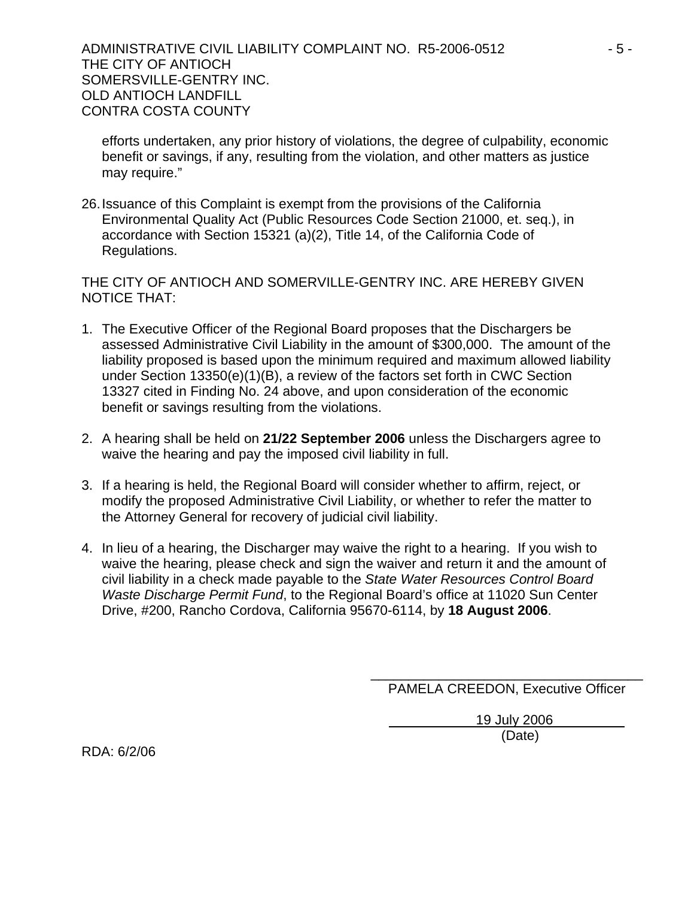ADMINISTRATIVE CIVIL LIABILITY COMPLAINT NO. R5-2006-0512  $-5$  -THE CITY OF ANTIOCH SOMERSVILLE-GENTRY INC. OLD ANTIOCH LANDFILL CONTRA COSTA COUNTY

efforts undertaken, any prior history of violations, the degree of culpability, economic benefit or savings, if any, resulting from the violation, and other matters as justice may require."

26. Issuance of this Complaint is exempt from the provisions of the California Environmental Quality Act (Public Resources Code Section 21000, et. seq.), in accordance with Section 15321 (a)(2), Title 14, of the California Code of Regulations.

THE CITY OF ANTIOCH AND SOMERVILLE-GENTRY INC. ARE HEREBY GIVEN NOTICE THAT:

- 1. The Executive Officer of the Regional Board proposes that the Dischargers be assessed Administrative Civil Liability in the amount of \$300,000. The amount of the liability proposed is based upon the minimum required and maximum allowed liability under Section 13350(e)(1)(B), a review of the factors set forth in CWC Section 13327 cited in Finding No. 24 above, and upon consideration of the economic benefit or savings resulting from the violations.
- 2. A hearing shall be held on **21/22 September 2006** unless the Dischargers agree to waive the hearing and pay the imposed civil liability in full.
- 3. If a hearing is held, the Regional Board will consider whether to affirm, reject, or modify the proposed Administrative Civil Liability, or whether to refer the matter to the Attorney General for recovery of judicial civil liability.
- 4. In lieu of a hearing, the Discharger may waive the right to a hearing. If you wish to waive the hearing, please check and sign the waiver and return it and the amount of civil liability in a check made payable to the *State Water Resources Control Board Waste Discharge Permit Fund*, to the Regional Board's office at 11020 Sun Center Drive, #200, Rancho Cordova, California 95670-6114, by **18 August 2006**.

\_\_\_\_\_\_\_\_\_\_\_\_\_\_\_\_\_\_\_\_\_\_\_\_\_\_\_\_\_\_\_\_\_\_\_\_ PAMELA CREEDON, Executive Officer

19 July 2006

(Date)

RDA: 6/2/06